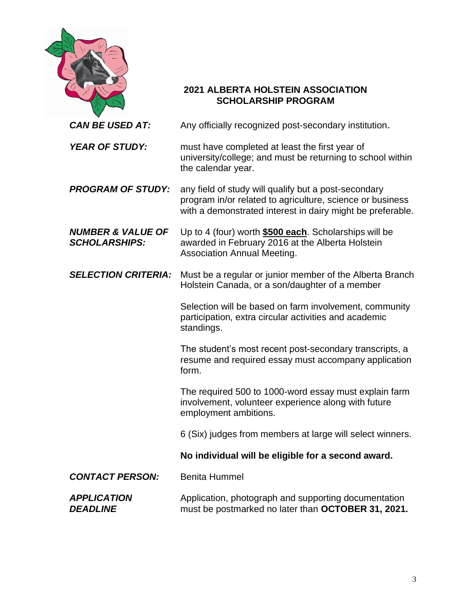|                                                      | <b>2021 ALBERTA HOLSTEIN ASSOCIATION</b><br><b>SCHOLARSHIP PROGRAM</b>                                                                                                          |
|------------------------------------------------------|---------------------------------------------------------------------------------------------------------------------------------------------------------------------------------|
| <b>CAN BE USED AT:</b>                               | Any officially recognized post-secondary institution.                                                                                                                           |
| <b>YEAR OF STUDY:</b>                                | must have completed at least the first year of<br>university/college; and must be returning to school within<br>the calendar year.                                              |
| <b>PROGRAM OF STUDY:</b>                             | any field of study will qualify but a post-secondary<br>program in/or related to agriculture, science or business<br>with a demonstrated interest in dairy might be preferable. |
| <b>NUMBER &amp; VALUE OF</b><br><b>SCHOLARSHIPS:</b> | Up to 4 (four) worth <b>\$500 each</b> . Scholarships will be<br>awarded in February 2016 at the Alberta Holstein<br><b>Association Annual Meeting.</b>                         |
| <b>SELECTION CRITERIA:</b>                           | Must be a regular or junior member of the Alberta Branch<br>Holstein Canada, or a son/daughter of a member                                                                      |
|                                                      | Selection will be based on farm involvement, community<br>participation, extra circular activities and academic<br>standings.                                                   |
|                                                      | The student's most recent post-secondary transcripts, a<br>resume and required essay must accompany application<br>form.                                                        |
|                                                      | The required 500 to 1000-word essay must explain farm<br>involvement, volunteer experience along with future<br>employment ambitions.                                           |
|                                                      | 6 (Six) judges from members at large will select winners.                                                                                                                       |
|                                                      | No individual will be eligible for a second award.                                                                                                                              |
| <b>CONTACT PERSON:</b>                               | <b>Benita Hummel</b>                                                                                                                                                            |
| <b>APPLICATION</b><br><b>DEADLINE</b>                | Application, photograph and supporting documentation<br>must be postmarked no later than OCTOBER 31, 2021.                                                                      |